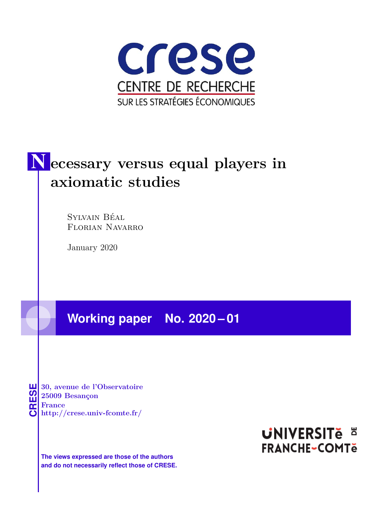

# N **ecessary versus equal players in axiomatic studies**

Sylvain Béal Florian Navarro

January 2020

**Working paper No. 2020 – 01**

**CRESE 30, avenue de l'Observatoire<br>
25009 Besançon<br>
France<br>
<b>CRESE de l'Observatoire de l'Observatoire**<br> **http://crese.univ-fcomte.fr/ 25009 Besançon France**

**The views expressed are those of the authors and do not necessarily reflect those of CRESE.**

# **UNIVERSITE E FRANCHE-COMTe**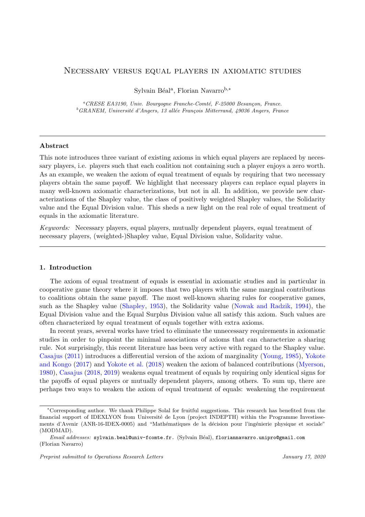# Necessary versus equal players in axiomatic studies

Sylvain Béal<sup>a</sup>, Florian Navarro<sup>b,\*</sup>

 ${}^a$ CRESE EA3190, Univ. Bourgogne Franche-Comté, F-25000 Besançon, France.  $^{b}$ GRANEM, Université d'Angers, 13 allée François Mitterrand, 49036 Angers, France

### Abstract

This note introduces three variant of existing axioms in which equal players are replaced by necessary players, i.e. players such that each coalition not containing such a player enjoys a zero worth. As an example, we weaken the axiom of equal treatment of equals by requiring that two necessary players obtain the same payoff. We highlight that necessary players can replace equal players in many well-known axiomatic characterizations, but not in all. In addition, we provide new characterizations of the Shapley value, the class of positively weighted Shapley values, the Solidarity value and the Equal Division value. This sheds a new light on the real role of equal treatment of equals in the axiomatic literature.

Keywords: Necessary players, equal players, mutually dependent players, equal treatment of necessary players, (weighted-)Shapley value, Equal Division value, Solidarity value.

#### 1. Introduction

The axiom of equal treatment of equals is essential in axiomatic studies and in particular in cooperative game theory where it imposes that two players with the same marginal contributions to coalitions obtain the same payoff. The most well-known sharing rules for cooperative games, such as the Shapley value (Shapley, 1953), the Solidarity value (Nowak and Radzik, 1994), the Equal Division value and the Equal Surplus Division value all satisfy this axiom. Such values are often characterized by equal treatment of equals together with extra axioms.

In recent years, several works have tried to eliminate the unnecessary requirements in axiomatic studies in order to pinpoint the minimal associations of axioms that can characterize a sharing rule. Not surprisingly, this recent literature has been very active with regard to the Shapley value. Casajus (2011) introduces a differential version of the axiom of marginality (Young, 1985), Yokote and Kongo (2017) and Yokote et al. (2018) weaken the axiom of balanced contributions (Myerson, 1980), Casajus (2018, 2019) weakens equal treatment of equals by requiring only identical signs for the payoffs of equal players or mutually dependent players, among others. To sum up, there are perhaps two ways to weaken the axiom of equal treatment of equals: weakening the requirement

<sup>∗</sup>Corresponding author. We thank Philippe Solal for fruitful suggestions. This research has benefited from the financial support of IDEXLYON from Université de Lyon (project INDEPTH) within the Programme Investissements d'Avenir (ANR-16-IDEX-0005) and "Mathématiques de la décision pour l'ingénierie physique et sociale" (MODMAD).

Email addresses: sylvain.beal@univ-fcomte.fr. (Sylvain B´eal), floriannavarro.unipro@gmail.com (Florian Navarro)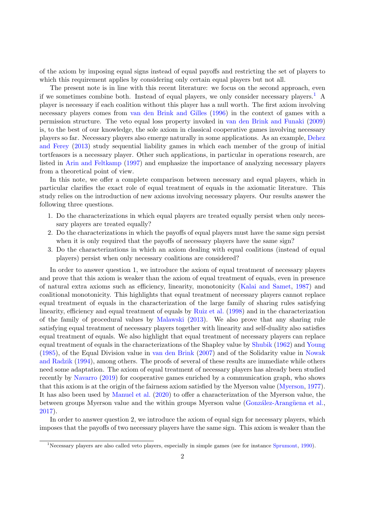of the axiom by imposing equal signs instead of equal payoffs and restricting the set of players to which this requirement applies by considering only certain equal players but not all.

The present note is in line with this recent literature: we focus on the second approach, even if we sometimes combine both. Instead of equal players, we only consider necessary players.<sup>1</sup> A player is necessary if each coalition without this player has a null worth. The first axiom involving necessary players comes from van den Brink and Gilles (1996) in the context of games with a permission structure. The veto equal loss property invoked in van den Brink and Funaki (2009) is, to the best of our knowledge, the sole axiom in classical cooperative games involving necessary players so far. Necessary players also emerge naturally in some applications. As an example, Dehez and Ferey (2013) study sequential liability games in which each member of the group of initial tortfeasors is a necessary player. Other such applications, in particular in operations research, are listed in Arin and Feltkamp (1997) and emphasize the importance of analyzing necessary players from a theoretical point of view.

In this note, we offer a complete comparison between necessary and equal players, which in particular clarifies the exact role of equal treatment of equals in the axiomatic literature. This study relies on the introduction of new axioms involving necessary players. Our results answer the following three questions.

- 1. Do the characterizations in which equal players are treated equally persist when only necessary players are treated equally?
- 2. Do the characterizations in which the payoffs of equal players must have the same sign persist when it is only required that the payoffs of necessary players have the same sign?
- 3. Do the characterizations in which an axiom dealing with equal coalitions (instead of equal players) persist when only necessary coalitions are considered?

In order to answer question 1, we introduce the axiom of equal treatment of necessary players and prove that this axiom is weaker than the axiom of equal treatment of equals, even in presence of natural extra axioms such as efficiency, linearity, monotonicity (Kalai and Samet, 1987) and coalitional monotonicity. This highlights that equal treatment of necessary players cannot replace equal treatment of equals in the characterization of the large family of sharing rules satisfying linearity, efficiency and equal treatment of equals by Ruiz et al. (1998) and in the characterization of the family of procedural values by Malawski (2013). We also prove that any sharing rule satisfying equal treatment of necessary players together with linearity and self-duality also satisfies equal treatment of equals. We also highlight that equal treatment of necessary players can replace equal treatment of equals in the characterizations of the Shapley value by Shubik (1962) and Young (1985), of the Equal Division value in van den Brink (2007) and of the Solidarity value in Nowak and Radzik (1994), among others. The proofs of several of these results are immediate while others need some adaptation. The axiom of equal treatment of necessary players has already been studied recently by Navarro (2019) for cooperative games enriched by a communication graph, who shows that this axiom is at the origin of the fairness axiom satisfied by the Myerson value (Myerson, 1977). It has also been used by Manuel et al. (2020) to offer a characterization of the Myerson value, the between groups Myerson value and the within groups Myerson value (González-Arangüena et al., 2017).

In order to answer question 2, we introduce the axiom of equal sign for necessary players, which imposes that the payoffs of two necessary players have the same sign. This axiom is weaker than the

<sup>&</sup>lt;sup>1</sup>Necessary players are also called veto players, especially in simple games (see for instance Sprumont, 1990).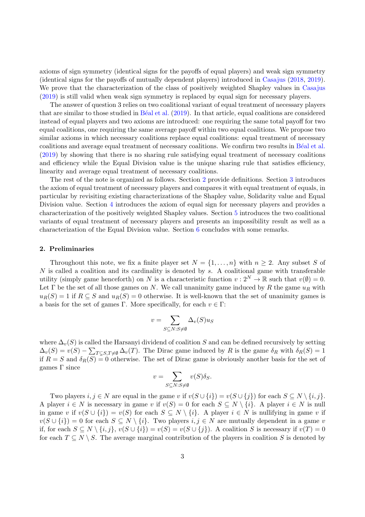axioms of sign symmetry (identical signs for the payoffs of equal players) and weak sign symmetry (identical signs for the payoffs of mutually dependent players) introduced in Casajus (2018, 2019). We prove that the characterization of the class of positively weighted Shapley values in Casajus (2019) is still valid when weak sign symmetry is replaced by equal sign for necessary players.

The answer of question 3 relies on two coalitional variant of equal treatment of necessary players that are similar to those studied in Béal et al.  $(2019)$ . In that article, equal coalitions are considered instead of equal players and two axioms are introduced: one requiring the same total payoff for two equal coalitions, one requiring the same average payoff within two equal coalitions. We propose two similar axioms in which necessary coalitions replace equal coalitions: equal treatment of necessary coalitions and average equal treatment of necessary coalitions. We confirm two results in Béal et al. (2019) by showing that there is no sharing rule satisfying equal treatment of necessary coalitions and efficiency while the Equal Division value is the unique sharing rule that satisfies efficiency, linearity and average equal treatment of necessary coalitions.

The rest of the note is organized as follows. Section 2 provide definitions. Section 3 introduces the axiom of equal treatment of necessary players and compares it with equal treatment of equals, in particular by revisiting existing characterizations of the Shapley value, Solidarity value and Equal Division value. Section 4 introduces the axiom of equal sign for necessary players and provides a characterization of the positively weighted Shapley values. Section 5 introduces the two coalitional variants of equal treatment of necessary players and presents an impossibility result as well as a characterization of the Equal Division value. Section 6 concludes with some remarks.

## 2. Preliminaries

Throughout this note, we fix a finite player set  $N = \{1, \ldots, n\}$  with  $n \geq 2$ . Any subset S of  $N$  is called a coalition and its cardinality is denoted by  $s$ . A coalitional game with transferable utility (simply game henceforth) on N is a characteristic function  $v: 2^N \to \mathbb{R}$  such that  $v(\emptyset) = 0$ . Let  $\Gamma$  be the set of all those games on N. We call unanimity game induced by R the game  $u_R$  with  $u_R(S) = 1$  if  $R \subseteq S$  and  $u_R(S) = 0$  otherwise. It is well-known that the set of unanimity games is a basis for the set of games Γ. More specifically, for each  $v \in \Gamma$ :

$$
v = \sum_{S \subseteq N: S \neq \emptyset} \Delta_v(S) u_S
$$

where  $\Delta_v(S)$  is called the Harsanyi dividend of coalition S and can be defined recursively by setting  $\Delta_v(S) = v(S) - \sum_{T \subseteq S, T \neq \emptyset} \Delta_v(T)$ . The Dirac game induced by R is the game  $\delta_R$  with  $\delta_R(S) = 1$ if  $R = S$  and  $\delta_R(S) = 0$  otherwise. The set of Dirac game is obviously another basis for the set of games Γ since

$$
v = \sum_{S \subseteq N: S \neq \emptyset} v(S) \delta_S.
$$

Two players  $i, j \in N$  are equal in the game v if  $v(S \cup \{i\}) = v(S \cup \{j\})$  for each  $S \subseteq N \setminus \{i, j\}.$ A player  $i \in N$  is necessary in game v if  $v(S) = 0$  for each  $S \subseteq N \setminus \{i\}$ . A player  $i \in N$  is null in game v if  $v(S \cup \{i\}) = v(S)$  for each  $S \subseteq N \setminus \{i\}$ . A player  $i \in N$  is nullifying in game v if  $v(S \cup \{i\}) = 0$  for each  $S \subseteq N \setminus \{i\}$ . Two players  $i, j \in N$  are mutually dependent in a game v if, for each  $S \subseteq N \setminus \{i, j\}, v(S \cup \{i\}) = v(S) = v(S \cup \{j\}).$  A coalition S is necessary if  $v(T) = 0$ for each  $T \subseteq N \setminus S$ . The average marginal contribution of the players in coalition S is denoted by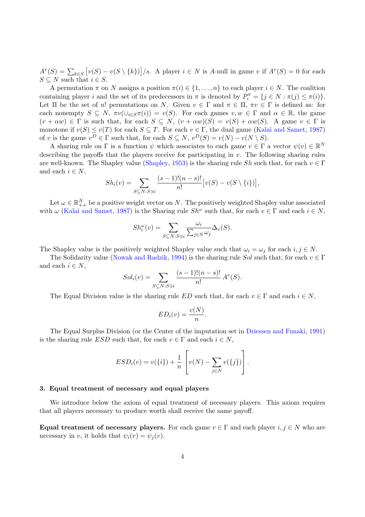$A^v(S) = \sum_{k \in S} [v(S) - v(S \setminus \{k\})]/s$ . A player  $i \in N$  is A-null in game v if  $A^v(S) = 0$  for each  $S \subseteq N$  such that  $i \in S$ .

A permutation  $\pi$  on N assigns a position  $\pi(i) \in \{1, \ldots, n\}$  to each player  $i \in N$ . The coalition containing player i and the set of its predecessors in  $\pi$  is denoted by  $P_i^{\pi} = \{j \in N : \pi(j) \leq \pi(i)\}.$ Let  $\Pi$  be the set of n! permutations on N. Given  $v \in \Gamma$  and  $\pi \in \Pi$ ,  $\pi v \in \Gamma$  is defined as: for each nonempty  $S \subseteq N$ ,  $\pi v(\cup_{i \in S} \pi(i)) = v(S)$ . For each games  $v, w \in \Gamma$  and  $\alpha \in \mathbb{R}$ , the game  $(v + \alpha w) \in \Gamma$  is such that, for each  $S \subseteq N$ ,  $(v + \alpha w)(S) = v(S) + \alpha w(S)$ . A game  $v \in \Gamma$  is monotone if  $v(S) \le v(T)$  for each  $S \subseteq T$ . For each  $v \in \Gamma$ , the dual game (Kalai and Samet, 1987) of v is the game  $v^D \in \Gamma$  such that, for each  $S \subseteq N$ ,  $v^D(S) = v(N) - v(N \setminus S)$ .

A sharing rule on  $\Gamma$  is a function  $\psi$  which associates to each game  $v \in \Gamma$  a vector  $\psi(v) \in \mathbb{R}^N$ describing the payoffs that the players receive for participating in  $v$ . The following sharing rules are well-known. The Shapley value (Shapley, 1953) is the sharing rule Sh such that, for each  $v \in \Gamma$ and each  $i \in N$ ,

$$
Sh_i(v) = \sum_{S \subseteq N: S \ni i} \frac{(s-1)!(n-s)!}{n!} [v(S) - v(S \setminus \{i\})],
$$

Let  $\omega \in \mathbb{R}_{++}^N$  be a positive weight vector on N. The positively weighted Shapley value associated with  $\omega$  (Kalai and Samet, 1987) is the Sharing rule  $Sh^{\omega}$  such that, for each  $v \in \Gamma$  and each  $i \in N$ ,

$$
Sh_i^{\omega}(v) = \sum_{S \subseteq N: S \ni i} \frac{\omega_i}{\sum_{j \in S} \omega_j} \Delta_v(S).
$$

The Shapley value is the positively weighted Shapley value such that  $\omega_i = \omega_j$  for each  $i, j \in N$ .

The Solidarity value (Nowak and Radzik, 1994) is the sharing rule Sol such that, for each  $v \in \Gamma$ and each  $i \in N$ ,

$$
Sol_i(v) = \sum_{S \subseteq N: S \ni i} \frac{(s-1)!(n-s)!}{n!} A^v(S).
$$

The Equal Division value is the sharing rule ED such that, for each  $v \in \Gamma$  and each  $i \in N$ ,

$$
ED_i(v) = \frac{v(N)}{n}.
$$

The Equal Surplus Division (or the Center of the imputation set in Driessen and Funaki, 1991) is the sharing rule ESD such that, for each  $v \in \Gamma$  and each  $i \in N$ ,

$$
ESD_i(v) = v({i}) + \frac{1}{n} \left[ v(N) - \sum_{j \in N} v({j}) \right].
$$

#### 3. Equal treatment of necessary and equal players

We introduce below the axiom of equal treatment of necessary players. This axiom requires that all players necessary to produce worth shall receive the same payoff.

Equal treatment of necessary players. For each game  $v \in \Gamma$  and each player  $i, j \in N$  who are necessary in v, it holds that  $\psi_i(v) = \psi_i(v)$ .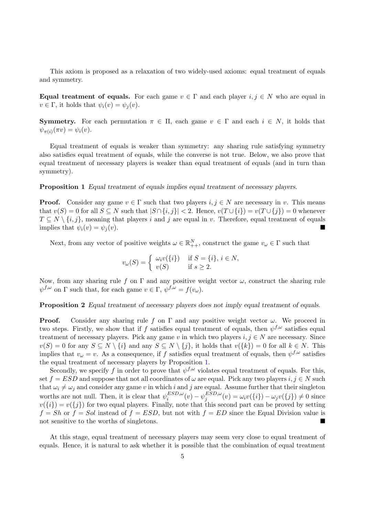This axiom is proposed as a relaxation of two widely-used axioms: equal treatment of equals and symmetry.

Equal treatment of equals. For each game  $v \in \Gamma$  and each player  $i, j \in N$  who are equal in  $v \in \Gamma$ , it holds that  $\psi_i(v) = \psi_i(v)$ .

Symmetry. For each permutation  $\pi \in \Pi$ , each game  $v \in \Gamma$  and each  $i \in N$ , it holds that  $\psi_{\pi(i)}(\pi v) = \psi_i(v).$ 

Equal treatment of equals is weaker than symmetry: any sharing rule satisfying symmetry also satisfies equal treatment of equals, while the converse is not true. Below, we also prove that equal treatment of necessary players is weaker than equal treatment of equals (and in turn than symmetry).

#### Proposition 1 Equal treatment of equals implies equal treatment of necessary players.

**Proof.** Consider any game  $v \in \Gamma$  such that two players  $i, j \in N$  are necessary in v. This means that  $v(S) = 0$  for all  $S \subseteq N$  such that  $|S \cap \{i, j\}| < 2$ . Hence,  $v(T \cup \{i\}) = v(T \cup \{j\}) = 0$  whenever  $T \subseteq N \setminus \{i, j\}$ , meaning that players i and j are equal in v. Therefore, equal treatment of equals implies that  $\psi_i(v) = \psi_i(v)$ .

Next, from any vector of positive weights  $\omega \in \mathbb{R}^N_{++}$ , construct the game  $v_\omega \in \Gamma$  such that

$$
v_{\omega}(S) = \begin{cases} \omega_i v(\{i\}) & \text{if } S = \{i\}, i \in N, \\ v(S) & \text{if } s \ge 2. \end{cases}
$$

Now, from any sharing rule f on  $\Gamma$  and any positive weight vector  $\omega$ , construct the sharing rule  $\psi^{f,\omega}$  on  $\Gamma$  such that, for each game  $v \in \Gamma$ ,  $\psi^{f,\omega} = f(v_\omega)$ .

Proposition 2 Equal treatment of necessary players does not imply equal treatment of equals.

**Proof.** Consider any sharing rule f on  $\Gamma$  and any positive weight vector  $\omega$ . We proceed in two steps. Firstly, we show that if f satisfies equal treatment of equals, then  $\psi^{f,\omega}$  satisfies equal treatment of necessary players. Pick any game v in which two players  $i, j \in N$  are necessary. Since  $v(S) = 0$  for any  $S \subseteq N \setminus \{i\}$  and any  $S \subseteq N \setminus \{j\}$ , it holds that  $v(\{k\}) = 0$  for all  $k \in N$ . This implies that  $v_\omega = v$ . As a consequence, if f satisfies equal treatment of equals, then  $\psi^{f,\omega}$  satisfies the equal treatment of necessary players by Proposition 1.

Secondly, we specify f in order to prove that  $\psi^{f,\omega}$  violates equal treatment of equals. For this, set  $f = ESD$  and suppose that not all coordinates of  $\omega$  are equal. Pick any two players  $i, j \in N$  such that  $\omega_i \neq \omega_j$  and consider any game v in which i and j are equal. Assume further that their singleton worths are not null. Then, it is clear that  $\psi_i^{ESD,\omega}$  ${}_i^{ESD,\omega}(v)-\psi_j^{ESD,\omega}$  $j_j^{ESD, \omega}(v) = \omega_i v(\{i\}) - \omega_j v(\{j\}) \neq 0$  since  $v({i}) = v({j})$  for two equal players. Finally, note that this second part can be proved by setting  $f = Sh$  or  $f = Sol$  instead of  $f = ESD$ , but not with  $f = ED$  since the Equal Division value is not sensitive to the worths of singletons.

At this stage, equal treatment of necessary players may seem very close to equal treatment of equals. Hence, it is natural to ask whether it is possible that the combination of equal treatment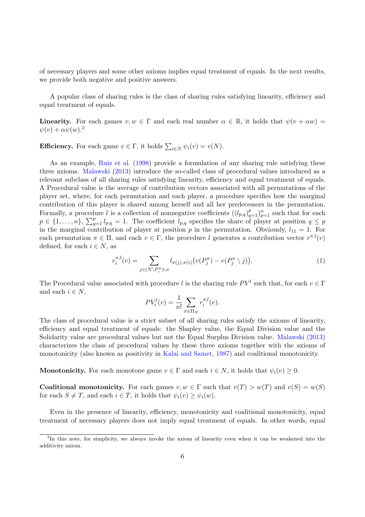of necessary players and some other axioms implies equal treatment of equals. In the next results, we provide both negative and positive answers.

A popular class of sharing rules is the class of sharing rules satisfying linearity, efficiency and equal treatment of equals.

**Linearity.** For each games  $v, w \in \Gamma$  and each real number  $\alpha \in \mathbb{R}$ , it holds that  $\psi(v + \alpha w) =$  $\psi(v) + \alpha \psi(w).^2$ 

**Efficiency.** For each game  $v \in \Gamma$ , it holds  $\sum_{i \in N} \psi_i(v) = v(N)$ .

As an example, Ruiz et al. (1998) provide a formulation of any sharing rule satisfying these three axioms. Malawski (2013) introduce the so-called class of procedural values introduced as a relevant subclass of all sharing rules satisfying linearity, efficiency and equal treatment of equals. A Procedural value is the average of contribution vectors associated with all permutations of the player set, where, for each permutation and each player, a procedure specifies how the marginal contribution of this player is shared among herself and all her predecessors in the permutation. Formally, a procedure l is a collection of nonnegative coefficients  $((l_{p,q})_{q=1}^p)_{p=1}^n$  such that for each  $p \in \{1, \ldots, n\}, \sum_{q=1}^p l_{p,q} = 1.$  The coefficient  $l_{p,q}$  specifies the share of player at position  $q \leq p$ in the marginal contribution of player at position p in the permutation. Obviously,  $l_{11} = 1$ . For each permutation  $\pi \in \Pi$ , and each  $v \in \Gamma$ , the procedure l generates a contribution vector  $r^{\pi,l}(v)$ defined, for each  $i \in N$ , as

$$
r_i^{\pi,l}(v) = \sum_{j \in (N \setminus P_i^{\pi}) \cup i} l_{\pi(j),\pi(i)} \big( v(P_j^{\pi}) - v(P_j^{\pi} \setminus j) \big). \tag{1}
$$

The Procedural value associated with procedure l is the sharing rule  $PV<sup>l</sup>$  such that, for each  $v \in \Gamma$ and each  $i \in N$ ,

$$
PV_i^l(v) = \frac{1}{n!} \sum_{\pi \in \Pi_N} r_i^{\sigma, l}(v).
$$

The class of procedural value is a strict subset of all sharing rules satisfy the axioms of linearity, efficiency and equal treatment of equals: the Shapley value, the Equal Division value and the Solidarity value are procedural values but not the Equal Surplus Division value. Malawski (2013) characterizes the class of procedural values by these three axioms together with the axioms of monotonicity (also known as positivity in Kalai and Samet, 1987) and coalitional monotonicity.

**Monotonicity.** For each monotone game  $v \in \Gamma$  and each  $i \in N$ , it holds that  $\psi_i(v) \geq 0$ .

**Coalitional monotonicity.** For each games  $v, w \in \Gamma$  such that  $v(T) > w(T)$  and  $v(S) = w(S)$ for each  $S \neq T$ , and each  $i \in T$ , it holds that  $\psi_i(v) \geq \psi_i(w)$ .

Even in the presence of linearity, efficiency, monotonicity and coalitional monotonicity, equal treatment of necessary players does not imply equal treatment of equals. In other words, equal

<sup>&</sup>lt;sup>2</sup>In this note, for simplicity, we always invoke the axiom of linearity even when it can be weakened into the additivity axiom.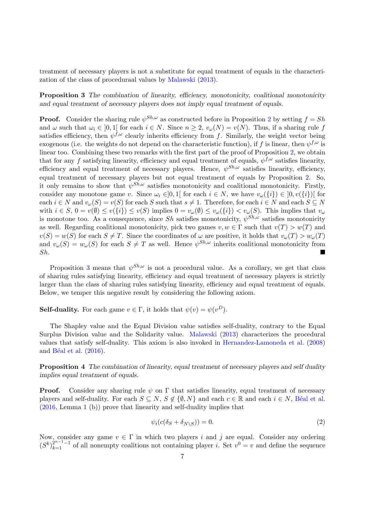treatment of necessary players is not a substitute for equal treatment of equals in the characterization of the class of proceduraal values by Malawski (2013).

Proposition 3 The combination of linearity, efficiency, monotonicity, coalitional monotonicity and equal treatment of necessary players does not imply equal treatment of equals.

**Proof.** Consider the sharing rule  $\psi^{Sh,\omega}$  as constructed before in Proposition 2 by setting  $f = Sh$ and  $\omega$  such that  $\omega_i \in [0,1]$  for each  $i \in N$ . Since  $n \geq 2$ ,  $v_\omega(N) = v(N)$ . Thus, if a sharing rule f satisfies efficiency, then  $\psi^{f,\omega}$  clearly inherits efficiency from f. Similarly, the weight vector being exogenous (i.e. the weights do not depend on the characteristic function), if f is linear, then  $\psi^{f,\omega}$  is linear too. Combining these two remarks with the first part of the proof of Proposition 2, we obtain that for any f satisfying linearity, efficiency and equal treatment of equals,  $\psi^{f,\omega}$  satisfies linearity, efficiency and equal treatment of necessary players. Hence,  $\psi^{Sh,\omega}$  satisfies linearity, efficiency, equal treatment of necessary players but not equal treatment of equals by Proposition 2. So, it only remains to show that  $\psi^{Sh,\omega}$  satisfies monotonicity and coalitional monotonicity. Firstly, consider any monotone game v. Since  $\omega_i \in ]0,1[$  for each  $i \in N$ , we have  $v_\omega({i}) \in [0, v({i})]$  for each  $i \in N$  and  $v_{\omega}(S) = v(S)$  for each S such that  $s \neq 1$ . Therefore, for each  $i \in N$  and each  $S \subseteq N$ with  $i \in S$ ,  $0 = v(\emptyset) \le v({i}) \le v(S)$  implies  $0 = v_\omega(\emptyset) \le v_\omega({i}) < v_\omega(S)$ . This implies that  $v_\omega$ is monotone too. As a consequence, since Sh satisfies monotonicity,  $\psi^{Sh,\omega}$  satisfies monotonicity as well. Regarding coalitional monotonicity, pick two games  $v, w \in \Gamma$  such that  $v(T) > w(T)$  and  $v(S) = w(S)$  for each  $S \neq T$ . Since the coordinates of  $\omega$  are positive, it holds that  $v_{\omega}(T) > w_{\omega}(T)$ and  $v_\omega(S) = w_\omega(S)$  for each  $S \neq T$  as well. Hence  $\psi^{Sh,\omega}$  inherits coalitional monotonicity from Sh.

Proposition 3 means that  $\psi^{Sh,\omega}$  is not a procedural value. As a corollary, we get that class of sharing rules satisfying linearity, efficiency and equal treatment of necessary players is strictly larger than the class of sharing rules satisfying linearity, efficiency and equal treatment of equals. Below, we temper this negative result by considering the following axiom.

**Self-duality.** For each game  $v \in \Gamma$ , it holds that  $\psi(v) = \psi(v^D)$ .

The Shapley value and the Equal Division value satisfies self-duality, contrary to the Equal Surplus Division value and the Solidarity value. Malawski (2013) characterizes the procedural values that satisfy self-duality. This axiom is also invoked in Hernandez-Lamoneda et al. (2008) and Béal et al.  $(2016)$ .

**Proposition 4** The combination of linearity, equal treatment of necessary players and self duality implies equal treatment of equals.

**Proof.** Consider any sharing rule  $\psi$  on  $\Gamma$  that satisfies linearity, equal treatment of necessary players and self-duality. For each  $S \subseteq N$ ,  $S \notin \{0, N\}$  and each  $c \in \mathbb{R}$  and each  $i \in N$ , Béal et al. (2016, Lemma 1 (b)) prove that linearity and self-duality implies that

$$
\psi_i(c(\delta_S + \delta_{N \setminus S})) = 0. \tag{2}
$$

Now, consider any game  $v \in \Gamma$  in which two players i and j are equal. Consider any ordering  $(S^k)_{k=1}^{2^{n-1}-1}$  of all nonempty coalitions not containing player i. Set  $v^0 = v$  and define the sequence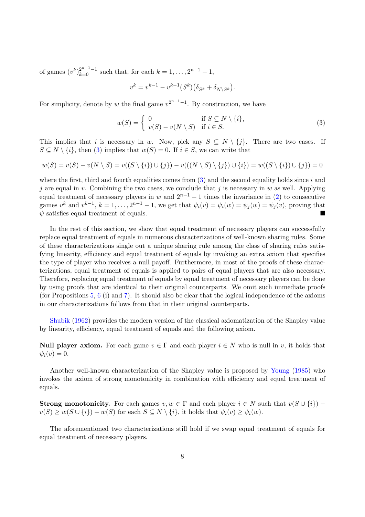of games  $(v^k)_{k=0}^{2^{n-1}-1}$  such that, for each  $k=1,\ldots,2^{n-1}-1$ ,

$$
v^k = v^{k-1} - v^{k-1}(S^k)(\delta_{S^k} + \delta_{N \setminus S^k}).
$$

For simplicity, denote by w the final game  $v^{2^{n-1}-1}$ . By construction, we have

$$
w(S) = \begin{cases} 0 & \text{if } S \subseteq N \setminus \{i\}, \\ v(S) - v(N \setminus S) & \text{if } i \in S. \end{cases}
$$
 (3)

This implies that i is necessary in w. Now, pick any  $S \subseteq N \setminus \{j\}$ . There are two cases. If  $S \subseteq N \setminus \{i\}$ , then (3) implies that  $w(S) = 0$ . If  $i \in S$ , we can write that

$$
w(S) = v(S) - v(N \setminus S) = v((S \setminus \{i\}) \cup \{j\}) - v(((N \setminus S) \setminus \{j\}) \cup \{i\}) = w((S \setminus \{i\}) \cup \{j\}) = 0
$$

where the first, third and fourth equalities comes from  $(3)$  and the second equality holds since i and j are equal in v. Combining the two cases, we conclude that j is necessary in w as well. Applying equal treatment of necessary players in w and  $2^{n-1} - 1$  times the invariance in (2) to consecutive games  $v^k$  and  $v^{k-1}$ ,  $k = 1, \ldots, 2^{n-1} - 1$ , we get that  $\psi_i(v) = \psi_i(w) = \psi_j(v) = \psi_j(v)$ , proving that  $\psi$  satisfies equal treatment of equals.

In the rest of this section, we show that equal treatment of necessary players can successfully replace equal treatment of equals in numerous characterizations of well-known sharing rules. Some of these characterizations single out a unique sharing rule among the class of sharing rules satisfying linearity, efficiency and equal treatment of equals by invoking an extra axiom that specifies the type of player who receives a null payoff. Furthermore, in most of the proofs of these characterizations, equal treatment of equals is applied to pairs of equal players that are also necessary. Therefore, replacing equal treatment of equals by equal treatment of necessary players can be done by using proofs that are identical to their original counterparts. We omit such immediate proofs (for Propositions 5, 6 (i) and 7). It should also be clear that the logical independence of the axioms in our characterizations follows from that in their original counterparts.

Shubik (1962) provides the modern version of the classical axiomatization of the Shapley value by linearity, efficiency, equal treatment of equals and the following axiom.

**Null player axiom.** For each game  $v \in \Gamma$  and each player  $i \in N$  who is null in v, it holds that  $\psi_i(v) = 0.$ 

Another well-known characterization of the Shapley value is proposed by Young (1985) who invokes the axiom of strong monotonicity in combination with efficiency and equal treatment of equals.

**Strong monotonicity.** For each games  $v, w \in \Gamma$  and each player  $i \in N$  such that  $v(S \cup \{i\})$  –  $v(S) \ge w(S \cup \{i\}) - w(S)$  for each  $S \subseteq N \setminus \{i\}$ , it holds that  $\psi_i(v) \ge \psi_i(w)$ .

The aforementioned two characterizations still hold if we swap equal treatment of equals for equal treatment of necessary players.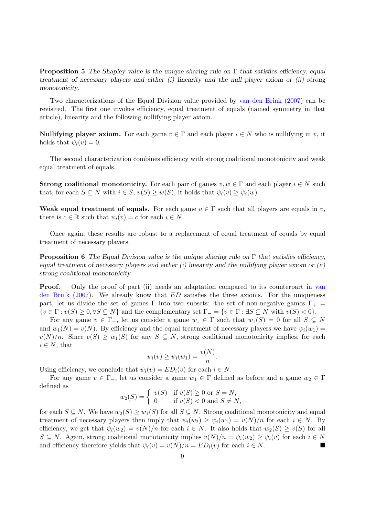**Proposition 5** The Shapley value is the unique sharing rule on  $\Gamma$  that satisfies efficiency, equal treatment of necessary players and either (i) linearity and the null player axiom or (ii) strong monotonicity.

Two characterizations of the Equal Division value provided by van den Brink (2007) can be revisited. The first one invokes efficiency, equal treatment of equals (named symmetry in that article), linearity and the following nullifying player axiom.

**Nullifying player axiom.** For each game  $v \in \Gamma$  and each player  $i \in N$  who is nullifying in v, it holds that  $\psi_i(v) = 0$ .

The second characterization combines efficiency with strong coalitional monotonicity and weak equal treatment of equals.

**Strong coalitional monotonicity.** For each pair of games  $v, w \in \Gamma$  and each player  $i \in N$  such that, for each  $S \subseteq N$  with  $i \in S$ ,  $v(S) \geq w(S)$ , it holds that  $\psi_i(v) \geq \psi_i(w)$ .

Weak equal treatment of equals. For each game  $v \in \Gamma$  such that all players are equals in v, there is  $c \in \mathbb{R}$  such that  $\psi_i(v) = c$  for each  $i \in N$ .

Once again, these results are robust to a replacement of equal treatment of equals by equal treatment of necessary players.

**Proposition 6** The Equal Division value is the unique sharing rule on  $\Gamma$  that satisfies efficiency, equal treatment of necessary players and either (i) linearity and the nullifying player axiom or (ii) strong coalitional monotonicity.

**Proof.** Only the proof of part (ii) needs an adaptation compared to its counterpart in van den Brink (2007). We already know that ED satisfies the three axioms. For the uniqueness part, let us divide the set of games Γ into two subsets: the set of non-negative games  $\Gamma_+$  =  $\{v \in \Gamma : v(S) \geq 0, \forall S \subseteq N\}$  and the complementary set  $\Gamma = \{v \in \Gamma : \exists S \subseteq N \text{ with } v(S) < 0\}.$ 

For any game  $v \in \Gamma_+$ , let us consider a game  $w_1 \in \Gamma$  such that  $w_1(S) = 0$  for all  $S \subsetneq N$ and  $w_1(N) = v(N)$ . By efficiency and the equal treatment of necessary players we have  $\psi_i(w_1)$  $v(N)/n$ . Since  $v(S) \geq w_1(S)$  for any  $S \subseteq N$ , strong coalitional monotonicity implies, for each  $i \in N$ , that

$$
\psi_i(v) \ge \psi_i(w_1) = \frac{v(N)}{n}.
$$

Using efficiency, we conclude that  $\psi_i(v) = ED_i(v)$  for each  $i \in N$ .

For any game  $v \in \Gamma_-,$  let us consider a game  $w_1 \in \Gamma$  defined as before and a game  $w_2 \in \Gamma$ defined as

$$
w_2(S) = \begin{cases} v(S) & \text{if } v(S) \ge 0 \text{ or } S = N, \\ 0 & \text{if } v(S) < 0 \text{ and } S \neq N, \end{cases}
$$

for each  $S \subseteq N$ . We have  $w_2(S) \ge w_1(S)$  for all  $S \subseteq N$ . Strong coalitional monotonicity and equal treatment of necessary players then imply that  $\psi_i(w_2) \geq \psi_i(w_1) = v(N)/n$  for each  $i \in N$ . By efficiency, we get that  $\psi_i(w_2) = v(N)/n$  for each  $i \in N$ . It also holds that  $w_2(S) \ge v(S)$  for all  $S \subseteq N$ . Again, strong coalitional monotonicity implies  $v(N)/n = \psi_i(w_2) \geq \psi_i(v)$  for each  $i \in N$ and efficiency therefore yields that  $\psi_i(v) = v(N)/n = ED_i(v)$  for each  $i \in N$ .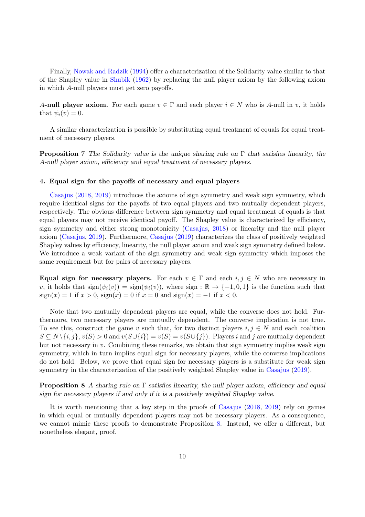Finally, Nowak and Radzik (1994) offer a characterization of the Solidarity value similar to that of the Shapley value in Shubik (1962) by replacing the null player axiom by the following axiom in which A-null players must get zero payoffs.

A-null player axiom. For each game  $v \in \Gamma$  and each player  $i \in N$  who is A-null in v, it holds that  $\psi_i(v) = 0$ .

A similar characterization is possible by substituting equal treatment of equals for equal treatment of necessary players.

**Proposition 7** The Solidarity value is the unique sharing rule on  $\Gamma$  that satisfies linearity, the A-null player axiom, efficiency and equal treatment of necessary players.

#### 4. Equal sign for the payoffs of necessary and equal players

Casajus (2018, 2019) introduces the axioms of sign symmetry and weak sign symmetry, which require identical signs for the payoffs of two equal players and two mutually dependent players, respectively. The obvious difference between sign symmetry and equal treatment of equals is that equal players may not receive identical payoff. The Shapley value is characterized by efficiency, sign symmetry and either strong monotonicity (Casajus, 2018) or linearity and the null player axiom (Casajus, 2019). Furthermore, Casajus (2019) characterizes the class of positively weighted Shapley values by efficiency, linearity, the null player axiom and weak sign symmetry defined below. We introduce a weak variant of the sign symmetry and weak sign symmetry which imposes the same requirement but for pairs of necessary players.

Equal sign for necessary players. For each  $v \in \Gamma$  and each  $i, j \in N$  who are necessary in v, it holds that  $sign(\psi_i(v)) = sign(\psi_i(v))$ , where  $sign : \mathbb{R} \to \{-1,0,1\}$  is the function such that  $sign(x) = 1$  if  $x > 0$ ,  $sign(x) = 0$  if  $x = 0$  and  $sign(x) = -1$  if  $x < 0$ .

Note that two mutually dependent players are equal, while the converse does not hold. Furthermore, two necessary players are mutually dependent. The converse implication is not true. To see this, construct the game v such that, for two distinct players  $i, j \in N$  and each coalition  $S \subseteq N \setminus \{i, j\}, v(S) > 0$  and  $v(S \cup \{i\}) = v(S) = v(S \cup \{j\}).$  Players i and j are mutually dependent but not necessary in  $v$ . Combining these remarks, we obtain that sign symmetry implies weak sign symmetry, which in turn implies equal sign for necessary players, while the converse implications do not hold. Below, we prove that equal sign for necessary players is a substitute for weak sign symmetry in the characterization of the positively weighted Shapley value in Casajus (2019).

**Proposition 8** A sharing rule on  $\Gamma$  satisfies linearity, the null player axiom, efficiency and equal sign for necessary players if and only if it is a positively weighted Shapley value.

It is worth mentioning that a key step in the proofs of Casajus (2018, 2019) rely on games in which equal or mutually dependent players may not be necessary players. As a consequence, we cannot mimic these proofs to demonstrate Proposition 8. Instead, we offer a different, but nonetheless elegant, proof.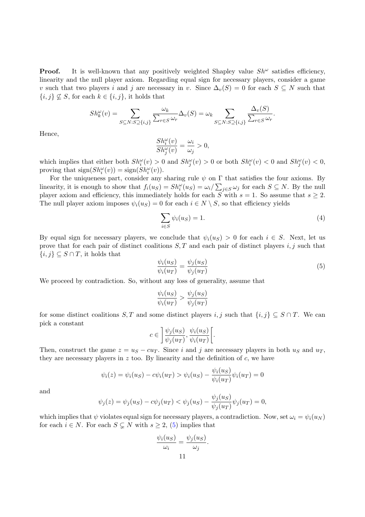**Proof.** It is well-known that any positively weighted Shapley value  $Sh^{\omega}$  satisfies efficiency, linearity and the null player axiom. Regarding equal sign for necessary players, consider a game v such that two players i and j are necessary in v. Since  $\Delta_v(S) = 0$  for each  $S \subseteq N$  such that  ${i, j} \not\subseteq S$ , for each  $k \in \{i, j\}$ , it holds that

$$
Sh_k^{\omega}(v) = \sum_{S \subseteq N: S \supseteq \{i,j\}} \frac{\omega_k}{\sum_{r \in S} \omega_r} \Delta_v(S) = \omega_k \sum_{S \subseteq N: S \supseteq \{i,j\}} \frac{\Delta_v(S)}{\sum_{r \in S} \omega_r}.
$$

Hence,

$$
\frac{Sh_i^{\omega}(v)}{Sh_j^{\omega}(v)} = \frac{\omega_i}{\omega_j} > 0,
$$

which implies that either both  $Sh_i^{\omega}(v) > 0$  and  $Sh_j^{\omega}(v) > 0$  or both  $Sh_i^{\omega}(v) < 0$  and  $Sh_j^{\omega}(v) < 0$ , proving that  $sign(Sh_i^{\omega}(v)) = sign(Sh_i^{\omega}(v))$ .

For the uniqueness part, consider any sharing rule  $\psi$  on  $\Gamma$  that satisfies the four axioms. By linearity, it is enough to show that  $f_i(u_S) = Sh_i^{\omega}(u_S) = \omega_i / \sum_{j \in S} \omega_j$  for each  $S \subseteq N$ . By the null player axiom and efficiency, this immediately holds for each  $S$  with  $s = 1$ . So assume that  $s \geq 2$ . The null player axiom imposes  $\psi_i(u_S) = 0$  for each  $i \in N \setminus S$ , so that efficiency yields

$$
\sum_{i \in S} \psi_i(u_S) = 1. \tag{4}
$$

By equal sign for necessary players, we conclude that  $\psi_i(u_S) > 0$  for each  $i \in S$ . Next, let us prove that for each pair of distinct coalitions  $S, T$  and each pair of distinct players i, j such that  $\{i, j\} \subseteq S \cap T$ , it holds that

$$
\frac{\psi_i(u_S)}{\psi_i(u_T)} = \frac{\psi_j(u_S)}{\psi_j(u_T)}\tag{5}
$$

We proceed by contradiction. So, without any loss of generality, assume that

$$
\frac{\psi_i(u_S)}{\psi_i(u_T)} > \frac{\psi_j(u_S)}{\psi_j(u_T)}
$$

for some distinct coalitions S, T and some distinct players i, j such that  $\{i, j\} \subseteq S \cap T$ . We can pick a constant

$$
c \in \left] \frac{\psi_j(u_S)}{\psi_j(u_T)}, \frac{\psi_i(u_S)}{\psi_i(u_T)} \right[.
$$

Then, construct the game  $z = u_S - cu_T$ . Since i and j are necessary players in both  $u_S$  and  $u_T$ , they are necessary players in  $z$  too. By linearity and the definition of  $c$ , we have

$$
\psi_i(z) = \psi_i(u_S) - c\psi_i(u_T) > \psi_i(u_S) - \frac{\psi_i(u_S)}{\psi_i(u_T)}\psi_i(u_T) = 0
$$

and

$$
\psi_j(z) = \psi_j(u_S) - c\psi_j(u_T) < \psi_j(u_S) - \frac{\psi_j(u_S)}{\psi_j(u_T)}\psi_j(u_T) = 0,
$$

which implies that  $\psi$  violates equal sign for necessary players, a contradiction. Now, set  $\omega_i = \psi_i(u_N)$ for each  $i \in N$ . For each  $S \subsetneq N$  with  $s \geq 2$ , (5) implies that

$$
\frac{\psi_i(u_S)}{\omega_i} = \frac{\psi_j(u_S)}{\omega_j}.
$$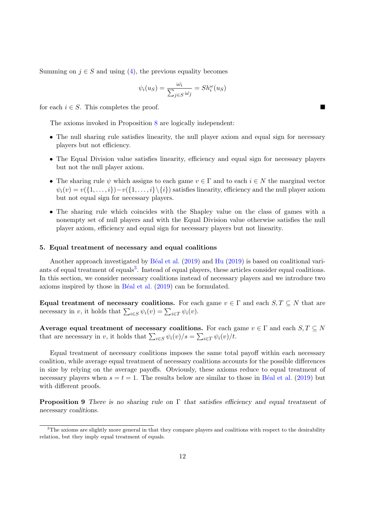Summing on  $j \in S$  and using (4), the previous equality becomes

$$
\psi_i(u_S) = \frac{\omega_i}{\sum_{j \in S} \omega_j} = Sh_i^{\omega}(u_S)
$$

for each  $i \in S$ . This completes the proof.

The axioms invoked in Proposition 8 are logically independent:

- The null sharing rule satisfies linearity, the null player axiom and equal sign for necessary players but not efficiency.
- The Equal Division value satisfies linearity, efficiency and equal sign for necessary players but not the null player axiom.
- The sharing rule  $\psi$  which assigns to each game  $v \in \Gamma$  and to each  $i \in N$  the marginal vector  $\psi_i(v) = v({1, \ldots, i})-v({1, \ldots, i})\$  satisfies linearity, efficiency and the null player axiom but not equal sign for necessary players.
- The sharing rule which coincides with the Shapley value on the class of games with a nonempty set of null players and with the Equal Division value otherwise satisfies the null player axiom, efficiency and equal sign for necessary players but not linearity.

#### 5. Equal treatment of necessary and equal coalitions

Another approach investigated by Béal et al.  $(2019)$  and Hu  $(2019)$  is based on coalitional variants of equal treatment of equals<sup>3</sup>. Instead of equal players, these articles consider equal coalitions. In this section, we consider necessary coalitions instead of necessary players and we introduce two axioms inspired by those in Béal et al.  $(2019)$  can be formulated.

Equal treatment of necessary coalitions. For each game  $v \in \Gamma$  and each  $S, T \subseteq N$  that are necessary in v, it holds that  $\sum_{i \in S} \psi_i(v) = \sum_{i \in T} \psi_i(v)$ .

Average equal treatment of necessary coalitions. For each game  $v \in \Gamma$  and each  $S, T \subseteq N$ that are necessary in v, it holds that  $\sum_{i \in S} \psi_i(v)/s = \sum_{i \in T} \psi_i(v)/t$ .

Equal treatment of necessary coalitions imposes the same total payoff within each necessary coalition, while average equal treatment of necessary coalitions accounts for the possible differences in size by relying on the average payoffs. Obviously, these axioms reduce to equal treatment of necessary players when  $s = t = 1$ . The results below are similar to those in Béal et al. (2019) but with different proofs.

Proposition 9 There is no sharing rule on Γ that satisfies efficiency and equal treatment of necessary coalitions.

<sup>&</sup>lt;sup>3</sup>The axioms are slightly more general in that they compare players and coalitions with respect to the desirability relation, but they imply equal treatment of equals.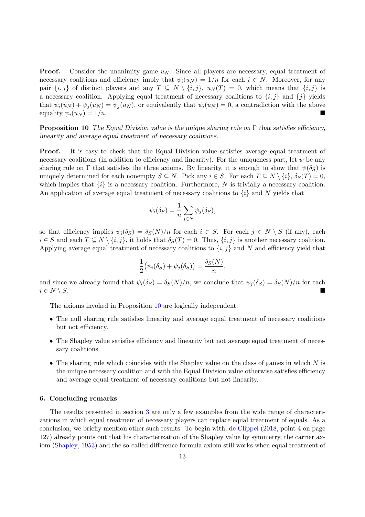**Proof.** Consider the unanimity game  $u_N$ . Since all players are necessary, equal treatment of necessary coalitions and efficiency imply that  $\psi_i(u_N) = 1/n$  for each  $i \in N$ . Moreover, for any pair  $\{i, j\}$  of distinct players and any  $T \subseteq N \setminus \{i, j\}$ ,  $u_N(T) = 0$ , which means that  $\{i, j\}$  is a necessary coalition. Applying equal treatment of necessary coalitions to  $\{i, j\}$  and  $\{j\}$  yields that  $\psi_i(u_N) + \psi_i(u_N) = \psi_i(u_N)$ , or equivalently that  $\psi_i(u_N) = 0$ , a contradiction with the above equality  $\psi_i(u_N) = 1/n$ .

**Proposition 10** The Equal Division value is the unique sharing rule on  $\Gamma$  that satisfies efficiency, linearity and average equal treatment of necessary coalitions.

Proof. It is easy to check that the Equal Division value satisfies average equal treatment of necessary coalitions (in addition to efficiency and linearity). For the uniqueness part, let  $\psi$  be any sharing rule on Γ that satisfies the three axioms. By linearity, it is enough to show that  $\psi(\delta_S)$  is uniquely determined for each nonempty  $S \subseteq N$ . Pick any  $i \in S$ . For each  $T \subseteq N \setminus \{i\}, \delta_S(T) = 0$ , which implies that  $\{i\}$  is a necessary coalition. Furthermore, N is trivially a necessary coalition. An application of average equal treatment of necessary coalitions to  $\{i\}$  and N yields that

$$
\psi_i(\delta_S) = \frac{1}{n} \sum_{j \in N} \psi_j(\delta_S),
$$

so that efficiency implies  $\psi_i(\delta_S) = \delta_S(N)/n$  for each  $i \in S$ . For each  $j \in N \setminus S$  (if any), each  $i \in S$  and each  $T \subseteq N \setminus \{i, j\}$ , it holds that  $\delta_S(T) = 0$ . Thus,  $\{i, j\}$  is another necessary coalition. Applying average equal treatment of necessary coalitions to  $\{i, j\}$  and N and efficiency yield that

$$
\frac{1}{2}(\psi_i(\delta_S) + \psi_j(\delta_S)) = \frac{\delta_S(N)}{n},
$$

and since we already found that  $\psi_i(\delta_S) = \delta_S(N)/n$ , we conclude that  $\psi_j(\delta_S) = \delta_S(N)/n$  for each  $i \in N \setminus S$ .

The axioms invoked in Proposition 10 are logically independent:

- The null sharing rule satisfies linearity and average equal treatment of necessary coalitions but not efficiency.
- The Shapley value satisfies efficiency and linearity but not average equal treatment of necessary coalitions.
- The sharing rule which coincides with the Shapley value on the class of games in which  $N$  is the unique necessary coalition and with the Equal Division value otherwise satisfies efficiency and average equal treatment of necessary coalitions but not linearity.

#### 6. Concluding remarks

The results presented in section 3 are only a few examples from the wide range of characterizations in which equal treatment of necessary players can replace equal treatment of equals. As a conclusion, we briefly mention other such results. To begin with, de Clippel (2018, point 4 on page 127) already points out that his characterization of the Shapley value by symmetry, the carrier axiom (Shapley, 1953) and the so-called difference formula axiom still works when equal treatment of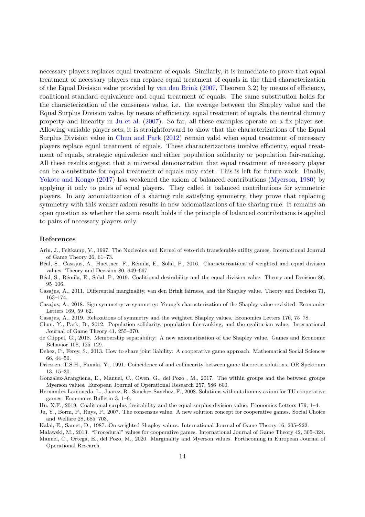necessary players replaces equal treatment of equals. Similarly, it is immediate to prove that equal treatment of necessary players can replace equal treatment of equals in the third characterization of the Equal Division value provided by van den Brink (2007, Theorem 3.2) by means of efficiency, coalitional standard equivalence and equal treatment of equals. The same substitution holds for the characterization of the consensus value, i.e. the average between the Shapley value and the Equal Surplus Division value, by means of efficiency, equal treatment of equals, the neutral dummy property and linearity in Ju et al. (2007). So far, all these examples operate on a fix player set. Allowing variable player sets, it is straightforward to show that the characterizations of the Equal Surplus Division value in Chun and Park (2012) remain valid when equal treatment of necessary players replace equal treatment of equals. These characterizations involve efficiency, equal treatment of equals, strategic equivalence and either population solidarity or population fair-ranking. All these results suggest that a universal demonstration that equal treatment of necessary player can be a substitute for equal treatment of equals may exist. This is left for future work. Finally, Yokote and Kongo (2017) has weakened the axiom of balanced contributions (Myerson, 1980) by applying it only to pairs of equal players. They called it balanced contributions for symmetric players. In any axiomatization of a sharing rule satisfying symmetry, they prove that replacing symmetry with this weaker axiom results in new axiomatizations of the sharing rule. It remains an open question as whether the same result holds if the principle of balanced contributions is applied to pairs of necessary players only.

#### References

- Arin, J., Feltkamp, V., 1997. The Nucleolus and Kernel of veto-rich transferable utility games. International Journal of Game Theory 26, 61–73.
- Béal, S., Casajus, A., Huettner, F., Rémila, E., Solal, P., 2016. Characterizations of weighted and equal division values. Theory and Decision 80, 649–667.
- Béal, S., Rémila, E., Solal, P., 2019. Coalitional desirability and the equal division value. Theory and Decision 86, 95–106.
- Casajus, A., 2011. Differential marginality, van den Brink fairness, and the Shapley value. Theory and Decision 71, 163–174.
- Casajus, A., 2018. Sign symmetry vs symmetry: Young's characterization of the Shapley value revisited. Economics Letters 169, 59–62.
- Casajus, A., 2019. Relaxations of symmetry and the weighted Shapley values. Economics Letters 176, 75–78.
- Chun, Y., Park, B., 2012. Population solidarity, population fair-ranking, and the egalitarian value. International Journal of Game Theory 41, 255–270.
- de Clippel, G., 2018. Membership separability: A new axiomatization of the Shapley value. Games and Economic Behavior 108, 125–129.
- Dehez, P., Ferey, S., 2013. How to share joint liability: A cooperative game approach. Mathematical Social Sciences 66, 44–50.
- Driessen, T.S.H., Funaki, Y., 1991. Coincidence of and collinearity between game theoretic solutions. OR Spektrum 13, 15–30.
- González-Arangüena, E., Manuel, C., Owen, G., del Pozo, M., 2017. The within groups and the between groups Myerson values. European Journal of Operational Research 257, 586–600.
- Hernandez-Lamoneda, L., Juarez, R., Sanchez-Sanchez, F., 2008. Solutions without dummy axiom for TU cooperative games. Economics Bulletin 3, 1–9.
- Hu, X.F., 2019. Coalitional surplus desirability and the equal surplus division value. Economics Letters 179, 1–4.
- Ju, Y., Borm, P., Ruys, P., 2007. The consensus value: A new solution concept for cooperative games. Social Choice and Welfare 28, 685–703.
- Kalai, E., Samet, D., 1987. On weighted Shapley values. International Journal of Game Theory 16, 205–222.
- Malawski, M., 2013. "Procedural" values for cooperative games. International Journal of Game Theory 42, 305–324.
- Manuel, C., Ortega, E., del Pozo, M., 2020. Marginality and Myerson values. Forthcoming in European Journal of Operational Research.